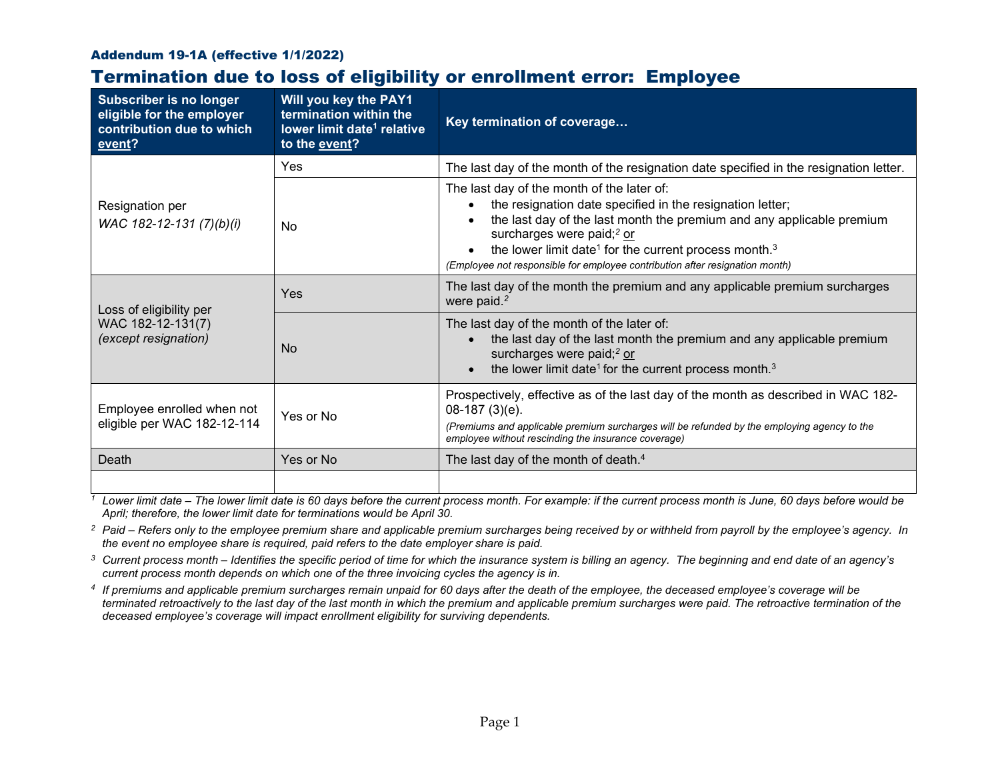## Addendum 19-1A (effective 1/1/2022)

## Termination due to loss of eligibility or enrollment error: Employee

| <b>Subscriber is no longer</b><br>eligible for the employer<br>contribution due to which<br>event? | Will you key the PAY1<br>termination within the<br>lower limit date <sup>1</sup> relative<br>to the event? | Key termination of coverage                                                                                                                                                                                                                                                                                                                                                                |  |
|----------------------------------------------------------------------------------------------------|------------------------------------------------------------------------------------------------------------|--------------------------------------------------------------------------------------------------------------------------------------------------------------------------------------------------------------------------------------------------------------------------------------------------------------------------------------------------------------------------------------------|--|
| Resignation per<br>WAC 182-12-131 (7)(b)(i)                                                        | Yes                                                                                                        | The last day of the month of the resignation date specified in the resignation letter.                                                                                                                                                                                                                                                                                                     |  |
|                                                                                                    | No                                                                                                         | The last day of the month of the later of:<br>the resignation date specified in the resignation letter;<br>the last day of the last month the premium and any applicable premium<br>surcharges were paid; <sup>2</sup> or<br>the lower limit date <sup>1</sup> for the current process month. <sup>3</sup><br>(Employee not responsible for employee contribution after resignation month) |  |
| Loss of eligibility per<br>WAC 182-12-131(7)<br>(except resignation)                               | Yes                                                                                                        | The last day of the month the premium and any applicable premium surcharges<br>were paid. <sup>2</sup>                                                                                                                                                                                                                                                                                     |  |
|                                                                                                    | <b>No</b>                                                                                                  | The last day of the month of the later of:<br>the last day of the last month the premium and any applicable premium<br>surcharges were paid; <sup>2</sup> or<br>the lower limit date <sup>1</sup> for the current process month. <sup>3</sup>                                                                                                                                              |  |
| Employee enrolled when not<br>eligible per WAC 182-12-114                                          | Yes or No                                                                                                  | Prospectively, effective as of the last day of the month as described in WAC 182-<br>$08-187(3)(e)$ .<br>(Premiums and applicable premium surcharges will be refunded by the employing agency to the<br>employee without rescinding the insurance coverage)                                                                                                                                |  |
| Death                                                                                              | Yes or No                                                                                                  | The last day of the month of death. <sup>4</sup>                                                                                                                                                                                                                                                                                                                                           |  |
|                                                                                                    |                                                                                                            |                                                                                                                                                                                                                                                                                                                                                                                            |  |

*<sup>1</sup> Lower limit date – The lower limit date is 60 days before the current process month. For example: if the current process month is June, 60 days before would be April; therefore, the lower limit date for terminations would be April 30.*

<sup>2</sup> Paid – Refers only to the employee premium share and applicable premium surcharges being received by or withheld from payroll by the employee's agency. In *the event no employee share is required, paid refers to the date employer share is paid.*

*<sup>3</sup> Current process month – Identifies the specific period of time for which the insurance system is billing an agency. The beginning and end date of an agency's current process month depends on which one of the three invoicing cycles the agency is in.*

*<sup>4</sup> If premiums and applicable premium surcharges remain unpaid for 60 days after the death of the employee, the deceased employee's coverage will be terminated retroactively to the last day of the last month in which the premium and applicable premium surcharges were paid. The retroactive termination of the deceased employee's coverage will impact enrollment eligibility for surviving dependents.*